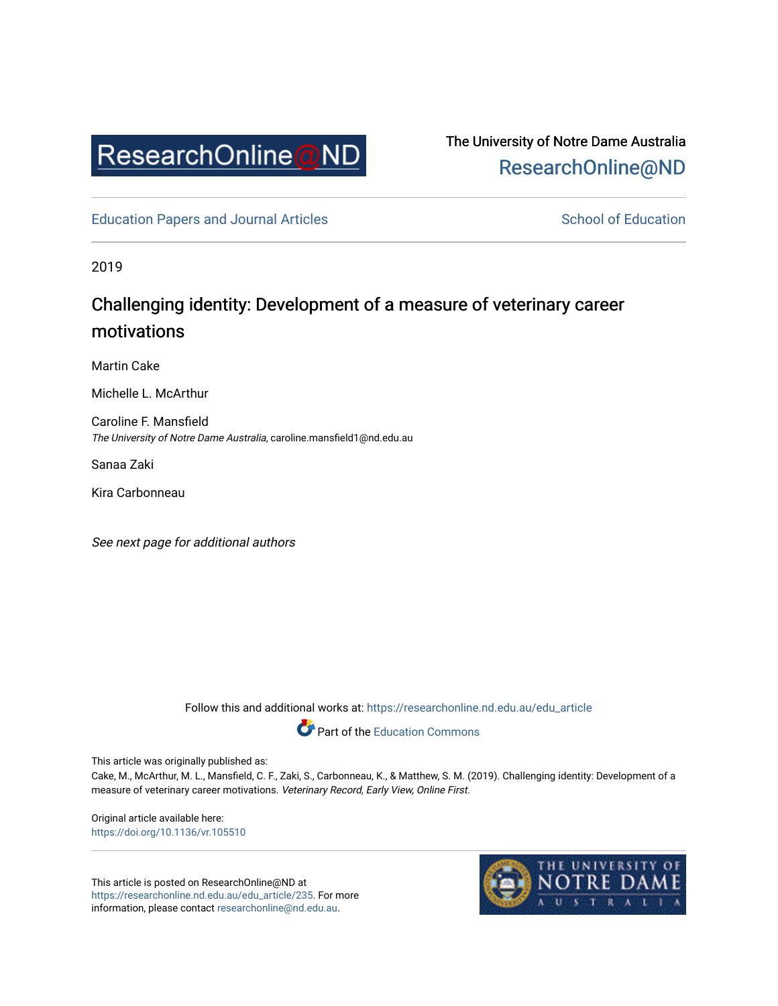

## The University of Notre Dame Australia [ResearchOnline@ND](https://researchonline.nd.edu.au/)

[Education Papers and Journal Articles](https://researchonline.nd.edu.au/edu_article) [School of Education](https://researchonline.nd.edu.au/edu) School of Education

2019

# Challenging identity: Development of a measure of veterinary career motivations

Martin Cake

Michelle L. McArthur

Caroline F. Mansfield The University of Notre Dame Australia, caroline.mansfield1@nd.edu.au

Sanaa Zaki

Kira Carbonneau

See next page for additional authors

Follow this and additional works at: [https://researchonline.nd.edu.au/edu\\_article](https://researchonline.nd.edu.au/edu_article?utm_source=researchonline.nd.edu.au%2Fedu_article%2F235&utm_medium=PDF&utm_campaign=PDFCoverPages)

Part of the [Education Commons](http://network.bepress.com/hgg/discipline/784?utm_source=researchonline.nd.edu.au%2Fedu_article%2F235&utm_medium=PDF&utm_campaign=PDFCoverPages) 

This article was originally published as:

Cake, M., McArthur, M. L., Mansfield, C. F., Zaki, S., Carbonneau, K., & Matthew, S. M. (2019). Challenging identity: Development of a measure of veterinary career motivations. Veterinary Record, Early View, Online First.

Original article available here: [https://doi.org/10.1136/vr.105510](https://doi.org/10.1136/vr.105510%20) 

This article is posted on ResearchOnline@ND at [https://researchonline.nd.edu.au/edu\\_article/235](https://researchonline.nd.edu.au/edu_article/235). For more information, please contact [researchonline@nd.edu.au.](mailto:researchonline@nd.edu.au)

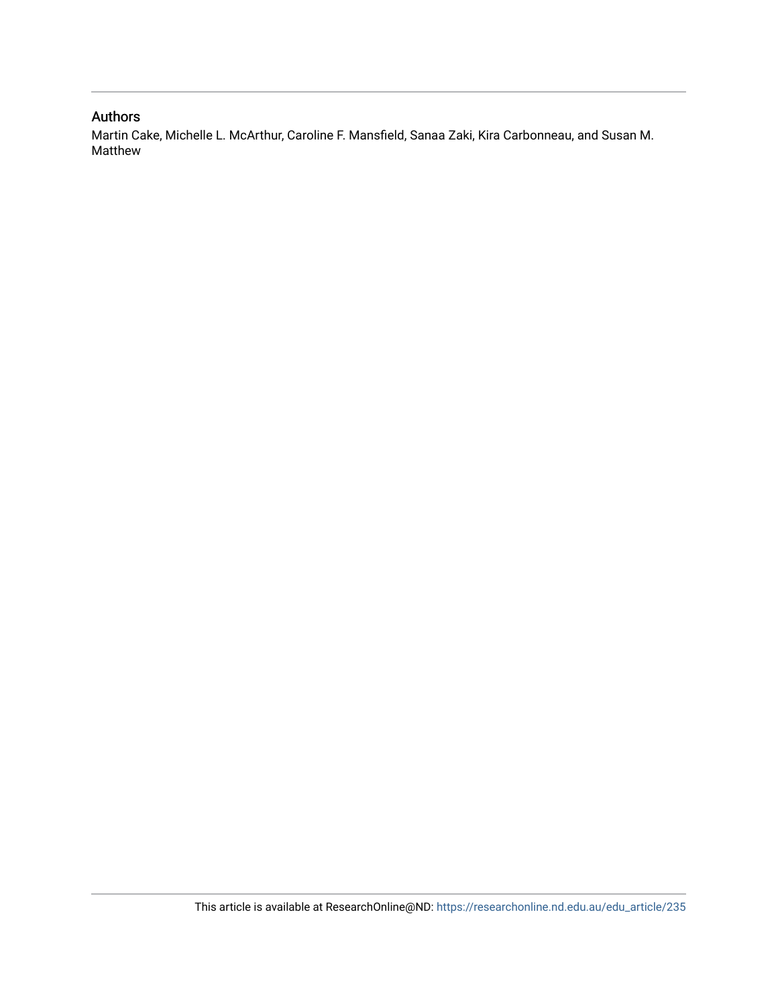### Authors

Martin Cake, Michelle L. McArthur, Caroline F. Mansfield, Sanaa Zaki, Kira Carbonneau, and Susan M. Matthew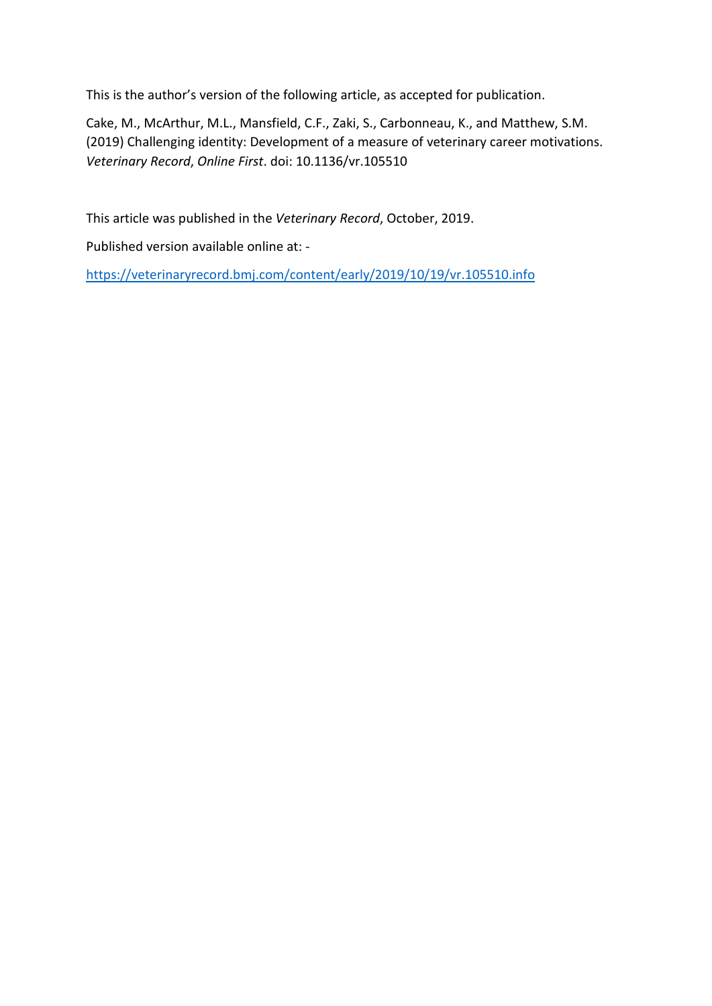This is the author's version of the following article, as accepted for publication.

Cake, M., McArthur, M.L., Mansfield, C.F., Zaki, S., Carbonneau, K., and Matthew, S.M. (2019) Challenging identity: Development of a measure of veterinary career motivations. *Veterinary Record*, *Online First*. doi: 10.1136/vr.105510

This article was published in the *Veterinary Record*, October, 2019.

Published version available online at: -

<https://veterinaryrecord.bmj.com/content/early/2019/10/19/vr.105510.info>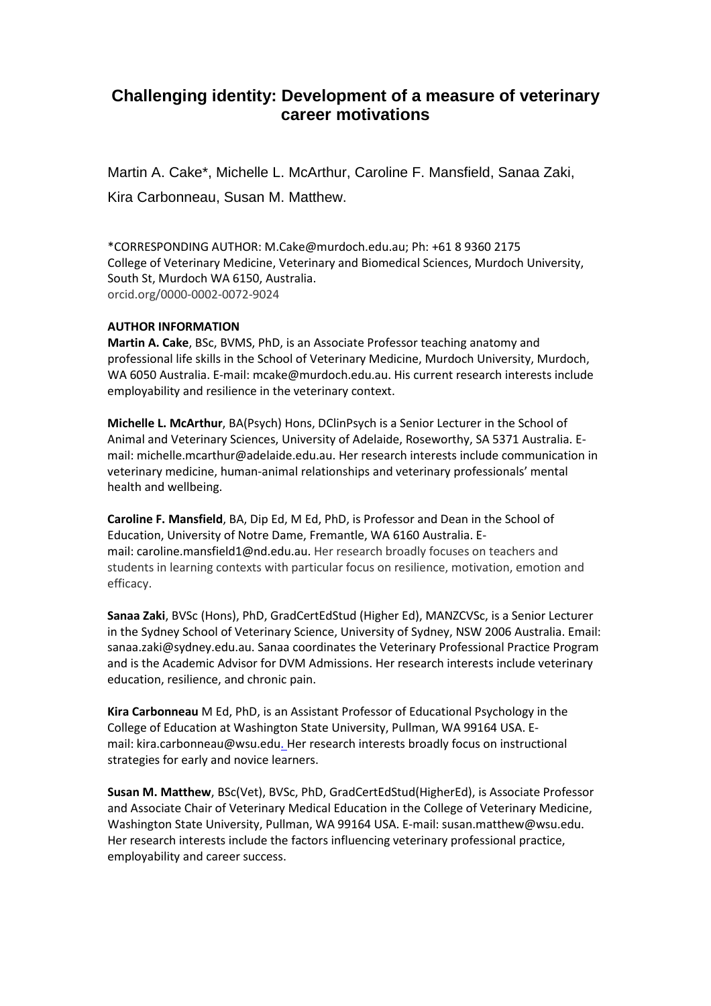## **Challenging identity: Development of a measure of veterinary career motivations**

Martin A. Cake\*, Michelle L. McArthur, Caroline F. Mansfield, Sanaa Zaki, Kira Carbonneau, Susan M. Matthew.

\*CORRESPONDING AUTHOR: M.Cake@murdoch.edu.au; Ph: +61 8 9360 2175 College of Veterinary Medicine, Veterinary and Biomedical Sciences, Murdoch University, South St, Murdoch WA 6150, Australia. orcid.org/0000-0002-0072-9024

#### **AUTHOR INFORMATION**

**Martin A. Cake**, BSc, BVMS, PhD, is an Associate Professor teaching anatomy and professional life skills in the School of Veterinary Medicine, Murdoch University, Murdoch, WA 6050 Australia. E-mail: mcake@murdoch.edu.au. His current research interests include employability and resilience in the veterinary context.

**Michelle L. McArthur**, BA(Psych) Hons, DClinPsych is a Senior Lecturer in the School of Animal and Veterinary Sciences, University of Adelaide, Roseworthy, SA 5371 Australia. Email: michelle.mcarthur@adelaide.edu.au. Her research interests include communication in veterinary medicine, human-animal relationships and veterinary professionals' mental health and wellbeing.

**Caroline F. Mansfield**, BA, Dip Ed, M Ed, PhD, is Professor and Dean in the School of Education, University of Notre Dame, Fremantle, WA 6160 Australia. Email: caroline.mansfield1@nd.edu.au. Her research broadly focuses on teachers and students in learning contexts with particular focus on resilience, motivation, emotion and efficacy.

**Sanaa Zaki**, BVSc (Hons), PhD, GradCertEdStud (Higher Ed), MANZCVSc, is a Senior Lecturer in the Sydney School of Veterinary Science, University of Sydney, NSW 2006 Australia. Email: sanaa.zaki@sydney.edu.au. Sanaa coordinates the Veterinary Professional Practice Program and is the Academic Advisor for DVM Admissions. Her research interests include veterinary education, resilience, and chronic pain.

**Kira Carbonneau** M Ed, PhD, is an Assistant Professor of Educational Psychology in the College of Education at Washington State University, Pullman, WA 99164 USA. Email: kira.carbonneau@wsu.edu. Her research interests broadly focus on instructional strategies for early and novice learners.

**Susan M. Matthew**, BSc(Vet), BVSc, PhD, GradCertEdStud(HigherEd), is Associate Professor and Associate Chair of Veterinary Medical Education in the College of Veterinary Medicine, Washington State University, Pullman, WA 99164 USA. E-mail: susan.matthew@wsu.edu. Her research interests include the factors influencing veterinary professional practice, employability and career success.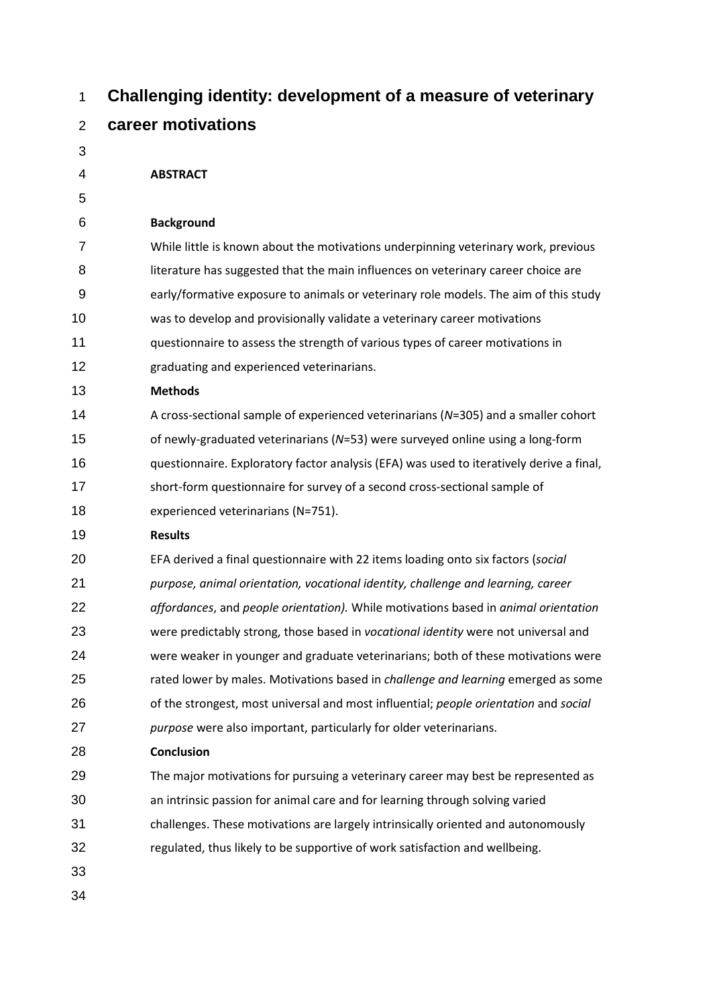| 1              | Challenging identity: development of a measure of veterinary                             |
|----------------|------------------------------------------------------------------------------------------|
| $\overline{2}$ | career motivations                                                                       |
| 3              |                                                                                          |
| 4              | <b>ABSTRACT</b>                                                                          |
| 5              |                                                                                          |
| 6              | <b>Background</b>                                                                        |
| 7              | While little is known about the motivations underpinning veterinary work, previous       |
| 8              | literature has suggested that the main influences on veterinary career choice are        |
| 9              | early/formative exposure to animals or veterinary role models. The aim of this study     |
| 10             | was to develop and provisionally validate a veterinary career motivations                |
| 11             | questionnaire to assess the strength of various types of career motivations in           |
| 12             | graduating and experienced veterinarians.                                                |
| 13             | <b>Methods</b>                                                                           |
| 14             | A cross-sectional sample of experienced veterinarians (N=305) and a smaller cohort       |
| 15             | of newly-graduated veterinarians (N=53) were surveyed online using a long-form           |
| 16             | questionnaire. Exploratory factor analysis (EFA) was used to iteratively derive a final, |
| 17             | short-form questionnaire for survey of a second cross-sectional sample of                |
| 18             | experienced veterinarians (N=751).                                                       |
| 19             | <b>Results</b>                                                                           |
| 20             | EFA derived a final questionnaire with 22 items loading onto six factors (social         |
| 21             | purpose, animal orientation, vocational identity, challenge and learning, career         |
| 22             | affordances, and people orientation). While motivations based in animal orientation      |
| 23             | were predictably strong, those based in vocational identity were not universal and       |
| 24             | were weaker in younger and graduate veterinarians; both of these motivations were        |
| 25             | rated lower by males. Motivations based in <i>challenge and learning</i> emerged as some |
| 26             | of the strongest, most universal and most influential; people orientation and social     |
| 27             | purpose were also important, particularly for older veterinarians.                       |
| 28             | <b>Conclusion</b>                                                                        |
| 29             | The major motivations for pursuing a veterinary career may best be represented as        |
| 30             | an intrinsic passion for animal care and for learning through solving varied             |
| 31             | challenges. These motivations are largely intrinsically oriented and autonomously        |
| 32             | regulated, thus likely to be supportive of work satisfaction and wellbeing.              |
| 33             |                                                                                          |
| 34             |                                                                                          |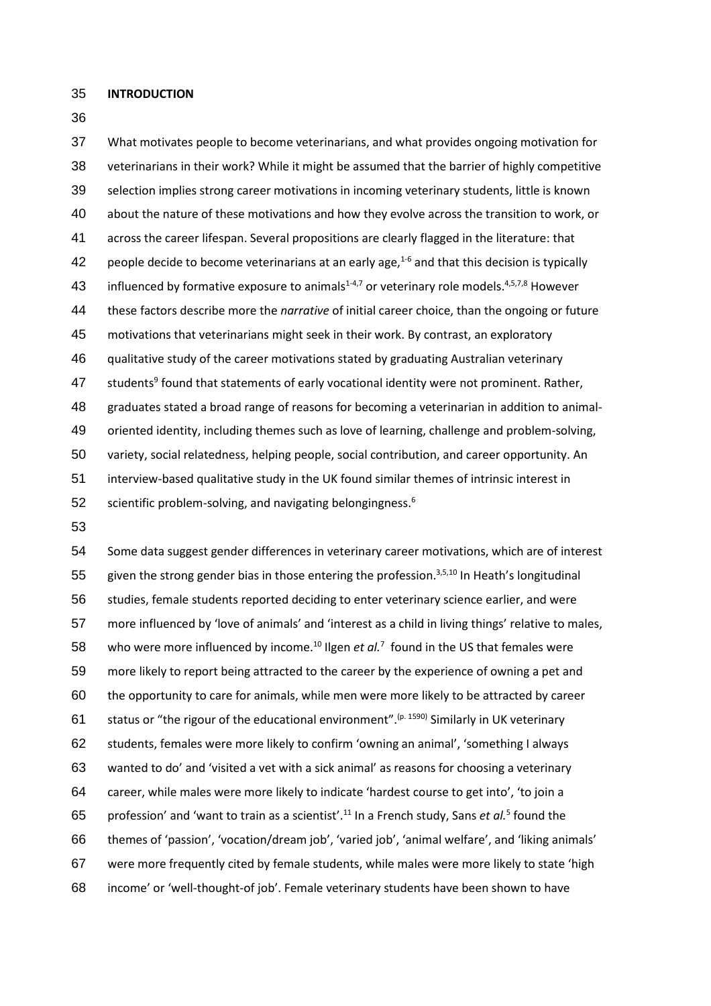**INTRODUCTION**

 What motivates people to become veterinarians, and what provides ongoing motivation for veterinarians in their work? While it might be assumed that the barrier of highly competitive selection implies strong career motivations in incoming veterinary students, little is known about the nature of these motivations and how they evolve across the transition to work, or across the career lifespan. Several propositions are clearly flagged in the literature: that 42 people decide to become veterinarians at an early age, $1-6$  and that this decision is typically 43 influenced by formative exposure to animals<sup>1-4,7</sup> or veterinary role models.<sup>4,5,7,8</sup> However these factors describe more the *narrative* of initial career choice, than the ongoing or future motivations that veterinarians might seek in their work. By contrast, an exploratory qualitative study of the career motivations stated by graduating Australian veterinary 47 students<sup>9</sup> found that statements of early vocational identity were not prominent. Rather, graduates stated a broad range of reasons for becoming a veterinarian in addition to animal- oriented identity, including themes such as love of learning, challenge and problem-solving, variety, social relatedness, helping people, social contribution, and career opportunity. An interview-based qualitative study in the UK found similar themes of intrinsic interest in 52 scientific problem-solving, and navigating belongingness.

 Some data suggest gender differences in veterinary career motivations, which are of interest 55 given the strong gender bias in those entering the profession.<sup>3,5,10</sup> In Heath's longitudinal studies, female students reported deciding to enter veterinary science earlier, and were more influenced by 'love of animals' and 'interest as a child in living things' relative to males, 58 who were more influenced by income.<sup>10</sup> Ilgen *et al.*<sup>7</sup> found in the US that females were more likely to report being attracted to the career by the experience of owning a pet and the opportunity to care for animals, while men were more likely to be attracted by career 61 status or "the rigour of the educational environment".<sup>(p. 1590)</sup> Similarly in UK veterinary students, females were more likely to confirm 'owning an animal', 'something I always wanted to do' and 'visited a vet with a sick animal' as reasons for choosing a veterinary career, while males were more likely to indicate 'hardest course to get into', 'to join a 65 profession' and 'want to train as a scientist'.<sup>11</sup> In a French study, Sans *et al.*<sup>5</sup> found the themes of 'passion', 'vocation/dream job', 'varied job', 'animal welfare', and 'liking animals' were more frequently cited by female students, while males were more likely to state 'high income' or 'well-thought-of job'. Female veterinary students have been shown to have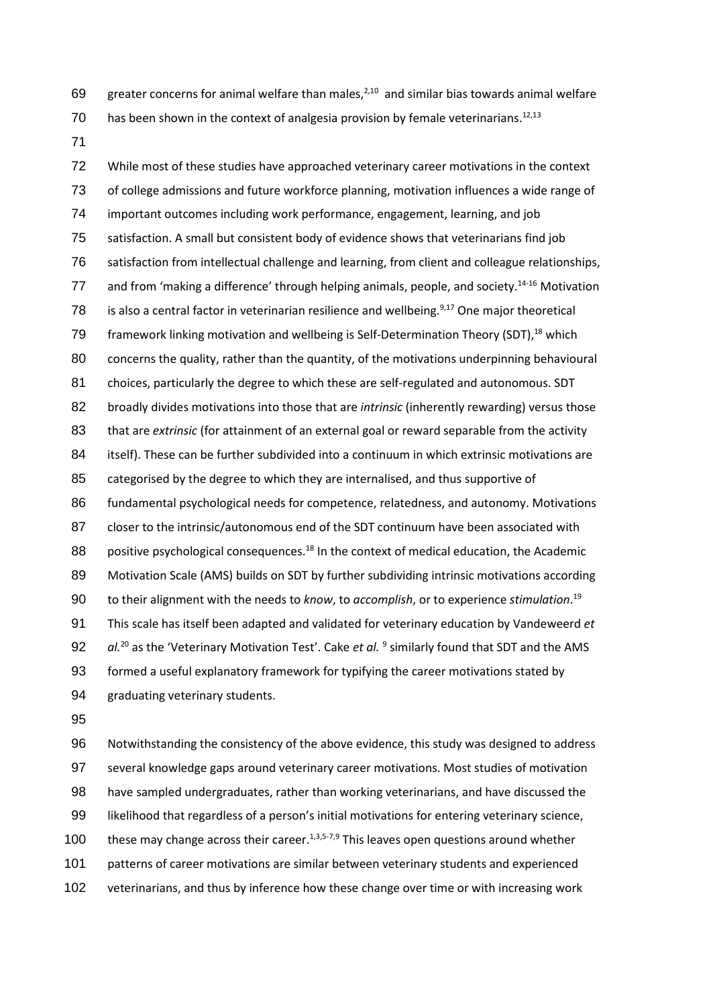69 greater concerns for animal welfare than males, $2,10$  and similar bias towards animal welfare has been shown in the context of analgesia provision by female veterinarians.<sup>12,13</sup>

 While most of these studies have approached veterinary career motivations in the context of college admissions and future workforce planning, motivation influences a wide range of important outcomes including work performance, engagement, learning, and job satisfaction. A small but consistent body of evidence shows that veterinarians find job satisfaction from intellectual challenge and learning, from client and colleague relationships, 77 and from 'making a difference' through helping animals, people, and society.<sup>14-16</sup> Motivation 78 is also a central factor in veterinarian resilience and wellbeing. $9,17$  One major theoretical 79 framework linking motivation and wellbeing is Self-Determination Theory (SDT),<sup>18</sup> which 80 concerns the quality, rather than the quantity, of the motivations underpinning behavioural choices, particularly the degree to which these are self-regulated and autonomous. SDT broadly divides motivations into those that are *intrinsic* (inherently rewarding) versus those that are *extrinsic* (for attainment of an external goal or reward separable from the activity itself). These can be further subdivided into a continuum in which extrinsic motivations are categorised by the degree to which they are internalised, and thus supportive of 86 fundamental psychological needs for competence, relatedness, and autonomy. Motivations closer to the intrinsic/autonomous end of the SDT continuum have been associated with 88 positive psychological consequences.<sup>18</sup> In the context of medical education, the Academic Motivation Scale (AMS) builds on SDT by further subdividing intrinsic motivations according to their alignment with the needs to *know*, to *accomplish*, or to experience *stimulation*. <sup>19</sup> This scale has itself been adapted and validated for veterinary education by Vandeweerd *et*  92 al.<sup>20</sup> as the 'Veterinary Motivation Test'. Cake *et al.* <sup>9</sup> similarly found that SDT and the AMS formed a useful explanatory framework for typifying the career motivations stated by graduating veterinary students.

 Notwithstanding the consistency of the above evidence, this study was designed to address several knowledge gaps around veterinary career motivations. Most studies of motivation have sampled undergraduates, rather than working veterinarians, and have discussed the likelihood that regardless of a person's initial motivations for entering veterinary science, 100 these may change across their career.<sup>1,3,5-7,9</sup> This leaves open questions around whether patterns of career motivations are similar between veterinary students and experienced veterinarians, and thus by inference how these change over time or with increasing work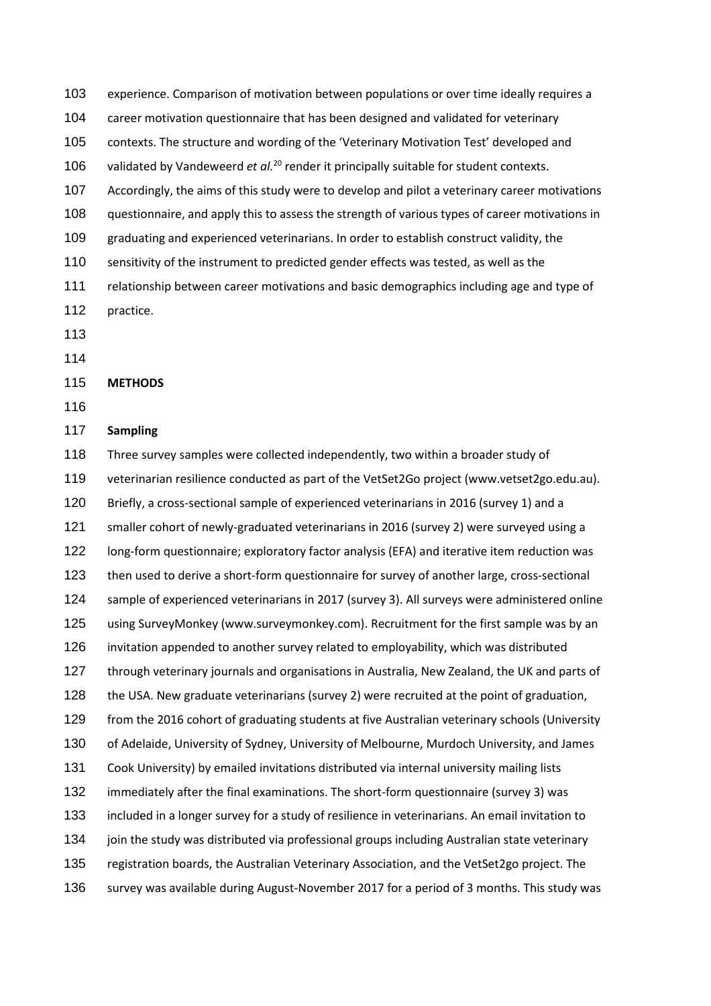experience. Comparison of motivation between populations or over time ideally requires a career motivation questionnaire that has been designed and validated for veterinary contexts. The structure and wording of the 'Veterinary Motivation Test' developed and 106 validated by Vandeweerd *et al.*<sup>20</sup> render it principally suitable for student contexts. Accordingly, the aims of this study were to develop and pilot a veterinary career motivations questionnaire, and apply this to assess the strength of various types of career motivations in graduating and experienced veterinarians. In order to establish construct validity, the sensitivity of the instrument to predicted gender effects was tested, as well as the relationship between career motivations and basic demographics including age and type of practice. 

#### **METHODS**

### **Sampling**

 Three survey samples were collected independently, two within a broader study of veterinarian resilience conducted as part of the VetSet2Go project (www.vetset2go.edu.au). Briefly, a cross-sectional sample of experienced veterinarians in 2016 (survey 1) and a smaller cohort of newly-graduated veterinarians in 2016 (survey 2) were surveyed using a long-form questionnaire; exploratory factor analysis (EFA) and iterative item reduction was then used to derive a short-form questionnaire for survey of another large, cross-sectional sample of experienced veterinarians in 2017 (survey 3). All surveys were administered online using SurveyMonkey (www.surveymonkey.com). Recruitment for the first sample was by an invitation appended to another survey related to employability, which was distributed through veterinary journals and organisations in Australia, New Zealand, the UK and parts of the USA. New graduate veterinarians (survey 2) were recruited at the point of graduation, from the 2016 cohort of graduating students at five Australian veterinary schools (University of Adelaide, University of Sydney, University of Melbourne, Murdoch University, and James Cook University) by emailed invitations distributed via internal university mailing lists immediately after the final examinations. The short-form questionnaire (survey 3) was included in a longer survey for a study of resilience in veterinarians. An email invitation to join the study was distributed via professional groups including Australian state veterinary registration boards, the Australian Veterinary Association, and the VetSet2go project. The survey was available during August-November 2017 for a period of 3 months. This study was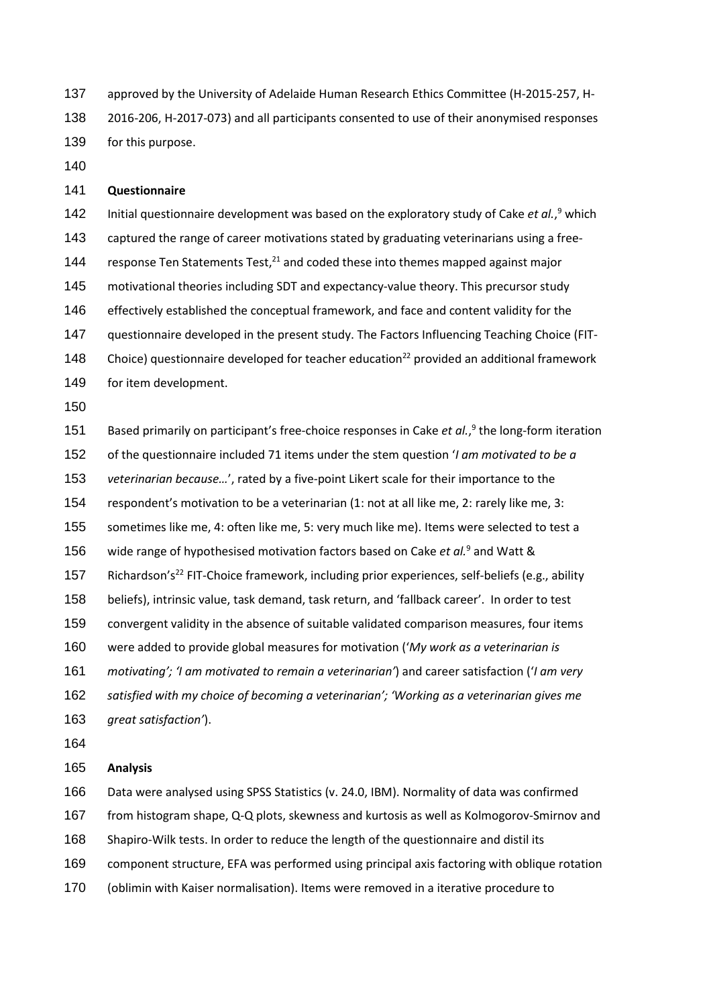approved by the University of Adelaide Human Research Ethics Committee (H-2015-257, H- 2016-206, H-2017-073) and all participants consented to use of their anonymised responses for this purpose.

### **Questionnaire**

142 Initial questionnaire development was based on the exploratory study of Cake *et al.*,<sup>9</sup> which captured the range of career motivations stated by graduating veterinarians using a free-144 response Ten Statements Test, $^{21}$  and coded these into themes mapped against major motivational theories including SDT and expectancy-value theory. This precursor study effectively established the conceptual framework, and face and content validity for the questionnaire developed in the present study. The Factors Influencing Teaching Choice (FIT-148 Choice) questionnaire developed for teacher education<sup>22</sup> provided an additional framework for item development.

151 Based primarily on participant's free-choice responses in Cake *et al.*,<sup>9</sup> the long-form iteration of the questionnaire included 71 items under the stem question '*I am motivated to be a veterinarian because…*', rated by a five-point Likert scale for their importance to the respondent's motivation to be a veterinarian (1: not at all like me, 2: rarely like me, 3: sometimes like me, 4: often like me, 5: very much like me). Items were selected to test a 156 wide range of hypothesised motivation factors based on Cake *et al.*<sup>9</sup> and Watt & 157 Richardson's<sup>22</sup> FIT-Choice framework, including prior experiences, self-beliefs (e.g., ability beliefs), intrinsic value, task demand, task return, and 'fallback career'. In order to test convergent validity in the absence of suitable validated comparison measures, four items were added to provide global measures for motivation ('*My work as a veterinarian is motivating'; 'I am motivated to remain a veterinarian'*) and career satisfaction ('*I am very satisfied with my choice of becoming a veterinarian'; 'Working as a veterinarian gives me great satisfaction'*).

#### **Analysis**

Data were analysed using SPSS Statistics (v. 24.0, IBM). Normality of data was confirmed

from histogram shape, Q-Q plots, skewness and kurtosis as well as Kolmogorov-Smirnov and

Shapiro-Wilk tests. In order to reduce the length of the questionnaire and distil its

component structure, EFA was performed using principal axis factoring with oblique rotation

(oblimin with Kaiser normalisation). Items were removed in a iterative procedure to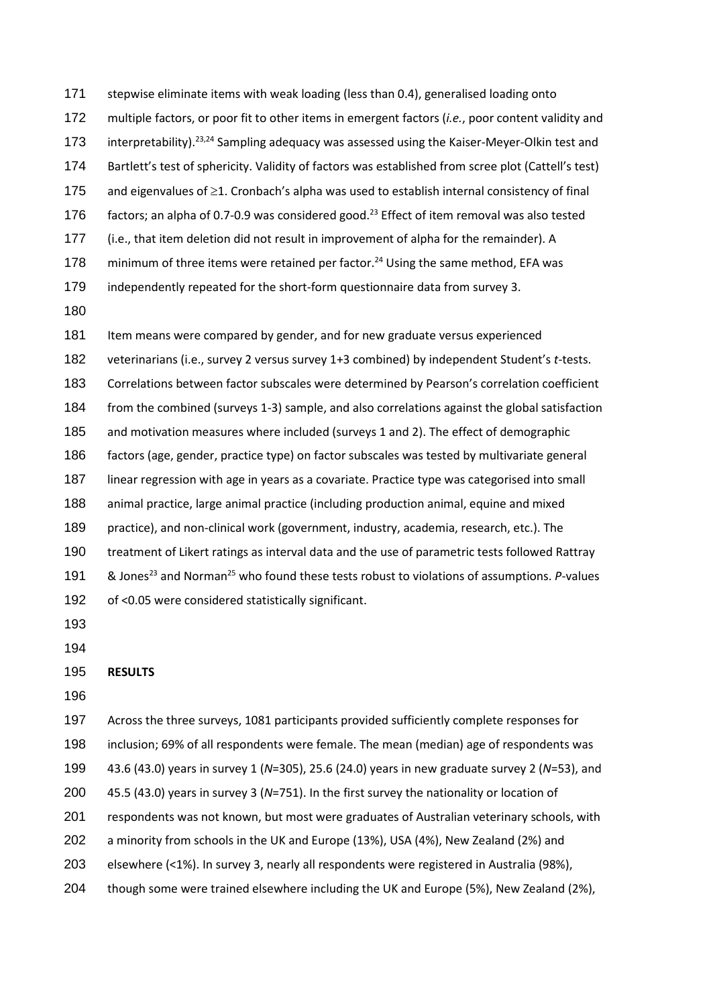stepwise eliminate items with weak loading (less than 0.4), generalised loading onto multiple factors, or poor fit to other items in emergent factors (*i.e.*, poor content validity and 173 interpretability).<sup>23,24</sup> Sampling adequacy was assessed using the Kaiser-Meyer-Olkin test and Bartlett's test of sphericity. Validity of factors was established from scree plot (Cattell's test) and eigenvalues of ≥1. Cronbach's alpha was used to establish internal consistency of final  $\pm$  factors; an alpha of 0.7-0.9 was considered good.<sup>23</sup> Effect of item removal was also tested (i.e., that item deletion did not result in improvement of alpha for the remainder). A 178 minimum of three items were retained per factor.<sup>24</sup> Using the same method, EFA was independently repeated for the short-form questionnaire data from survey 3. Item means were compared by gender, and for new graduate versus experienced veterinarians (i.e., survey 2 versus survey 1+3 combined) by independent Student's *t*-tests. Correlations between factor subscales were determined by Pearson's correlation coefficient from the combined (surveys 1-3) sample, and also correlations against the global satisfaction and motivation measures where included (surveys 1 and 2). The effect of demographic factors (age, gender, practice type) on factor subscales was tested by multivariate general linear regression with age in years as a covariate. Practice type was categorised into small animal practice, large animal practice (including production animal, equine and mixed practice), and non-clinical work (government, industry, academia, research, etc.). The treatment of Likert ratings as interval data and the use of parametric tests followed Rattray 191 & Jones<sup>23</sup> and Norman<sup>25</sup> who found these tests robust to violations of assumptions. *P*-values of <0.05 were considered statistically significant. 

## **RESULTS**

 Across the three surveys, 1081 participants provided sufficiently complete responses for inclusion; 69% of all respondents were female. The mean (median) age of respondents was 43.6 (43.0) years in survey 1 (*N*=305), 25.6 (24.0) years in new graduate survey 2 (*N*=53), and 45.5 (43.0) years in survey 3 (*N*=751). In the first survey the nationality or location of respondents was not known, but most were graduates of Australian veterinary schools, with a minority from schools in the UK and Europe (13%), USA (4%), New Zealand (2%) and elsewhere (<1%). In survey 3, nearly all respondents were registered in Australia (98%),

though some were trained elsewhere including the UK and Europe (5%), New Zealand (2%),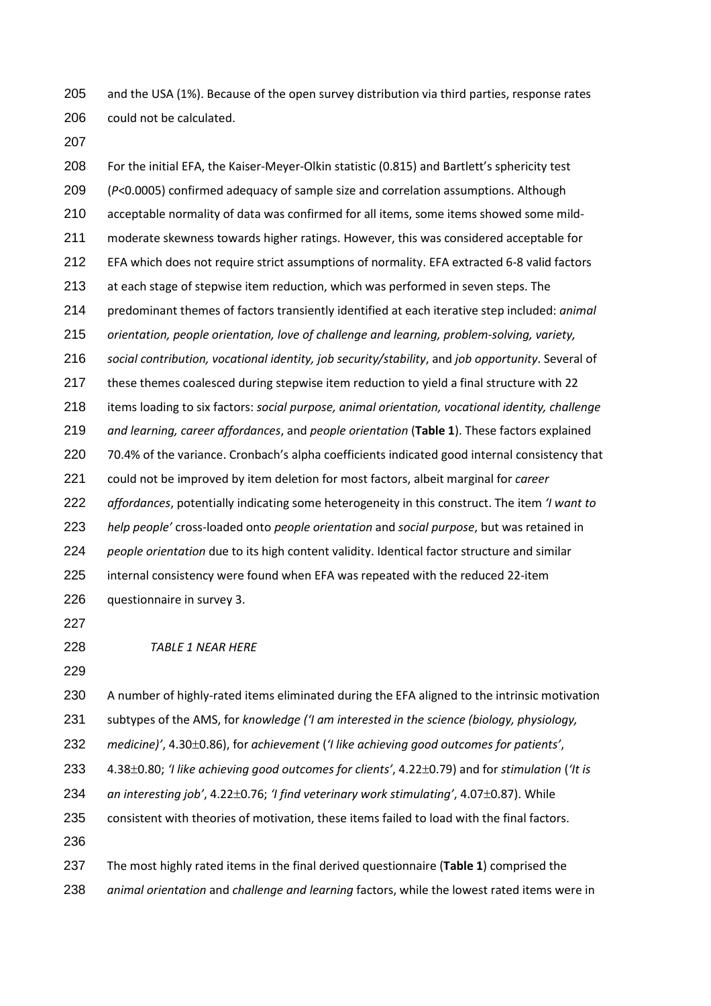and the USA (1%). Because of the open survey distribution via third parties, response rates could not be calculated.

 For the initial EFA, the Kaiser-Meyer-Olkin statistic (0.815) and Bartlett's sphericity test (*P*<0.0005) confirmed adequacy of sample size and correlation assumptions. Although acceptable normality of data was confirmed for all items, some items showed some mild- moderate skewness towards higher ratings. However, this was considered acceptable for EFA which does not require strict assumptions of normality. EFA extracted 6-8 valid factors at each stage of stepwise item reduction, which was performed in seven steps. The predominant themes of factors transiently identified at each iterative step included: *animal orientation, people orientation, love of challenge and learning, problem-solving, variety, social contribution, vocational identity, job security/stability*, and *job opportunity*. Several of these themes coalesced during stepwise item reduction to yield a final structure with 22 items loading to six factors: *social purpose, animal orientation, vocational identity, challenge and learning, career affordances*, and *people orientation* (**Table 1**). These factors explained 70.4% of the variance. Cronbach's alpha coefficients indicated good internal consistency that could not be improved by item deletion for most factors, albeit marginal for *career affordances*, potentially indicating some heterogeneity in this construct. The item *'I want to help people'* cross-loaded onto *people orientation* and *social purpose*, but was retained in *people orientation* due to its high content validity. Identical factor structure and similar internal consistency were found when EFA was repeated with the reduced 22-item questionnaire in survey 3.

*TABLE 1 NEAR HERE*

 A number of highly-rated items eliminated during the EFA aligned to the intrinsic motivation subtypes of the AMS, for *knowledge ('I am interested in the science (biology, physiology, medicine)'*, 4.30±0.86), for *achievement* (*'I like achieving good outcomes for patients'*, 4.38±0.80; *'I like achieving good outcomes for clients'*, 4.22±0.79) and for *stimulation* (*'It is* 

*an interesting job'*, 4.22±0.76; *'I find veterinary work stimulating'*, 4.07±0.87). While

consistent with theories of motivation, these items failed to load with the final factors.

 The most highly rated items in the final derived questionnaire (**Table 1**) comprised the *animal orientation* and *challenge and learning* factors, while the lowest rated items were in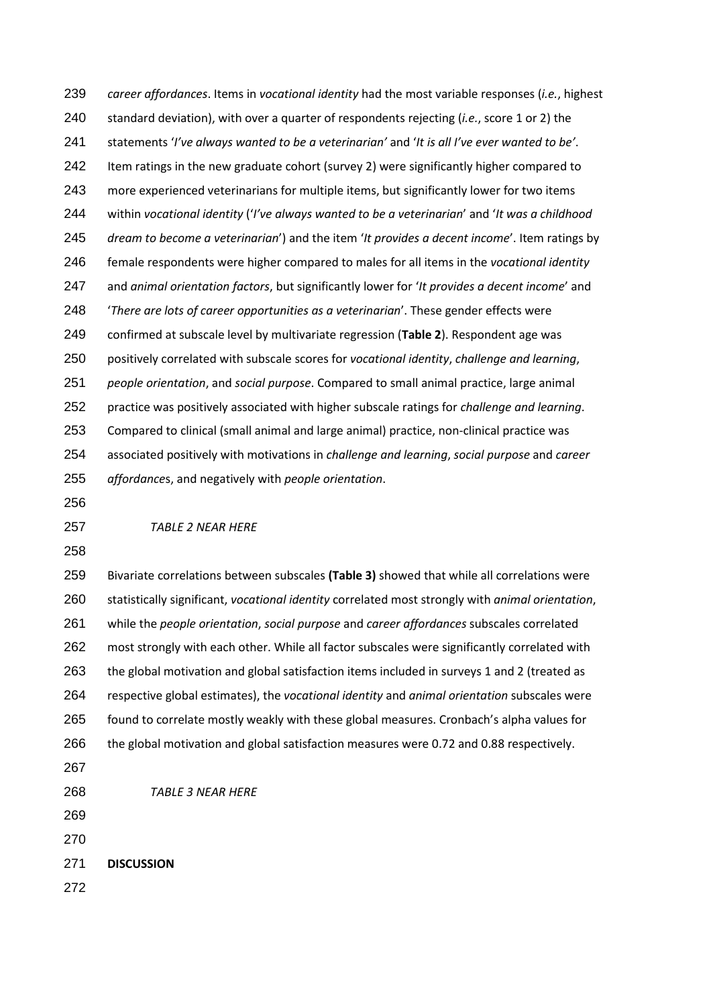*career affordances*. Items in *vocational identity* had the most variable responses (*i.e.*, highest standard deviation), with over a quarter of respondents rejecting (*i.e.*, score 1 or 2) the statements '*I've always wanted to be a veterinarian'* and '*It is all I've ever wanted to be'*. 242 Item ratings in the new graduate cohort (survey 2) were significantly higher compared to more experienced veterinarians for multiple items, but significantly lower for two items within *vocational identity* ('*I've always wanted to be a veterinarian*' and '*It was a childhood dream to become a veterinarian*') and the item '*It provides a decent income*'. Item ratings by female respondents were higher compared to males for all items in the *vocational identity* and *animal orientation factors*, but significantly lower for '*It provides a decent income*' and '*There are lots of career opportunities as a veterinarian*'. These gender effects were confirmed at subscale level by multivariate regression (**Table 2**). Respondent age was positively correlated with subscale scores for *vocational identity*, *challenge and learning*, *people orientation*, and *social purpose*. Compared to small animal practice, large animal practice was positively associated with higher subscale ratings for *challenge and learning*. Compared to clinical (small animal and large animal) practice, non-clinical practice was associated positively with motivations in *challenge and learning*, *social purpose* and *career affordance*s, and negatively with *people orientation*. *TABLE 2 NEAR HERE*

 Bivariate correlations between subscales **(Table 3)** showed that while all correlations were statistically significant, *vocational identity* correlated most strongly with *animal orientation*, while the *people orientation*, *social purpose* and *career affordances* subscales correlated most strongly with each other. While all factor subscales were significantly correlated with the global motivation and global satisfaction items included in surveys 1 and 2 (treated as respective global estimates), the *vocational identity* and *animal orientation* subscales were found to correlate mostly weakly with these global measures. Cronbach's alpha values for the global motivation and global satisfaction measures were 0.72 and 0.88 respectively.

- 
- *TABLE 3 NEAR HERE*
- 
- 

**DISCUSSION**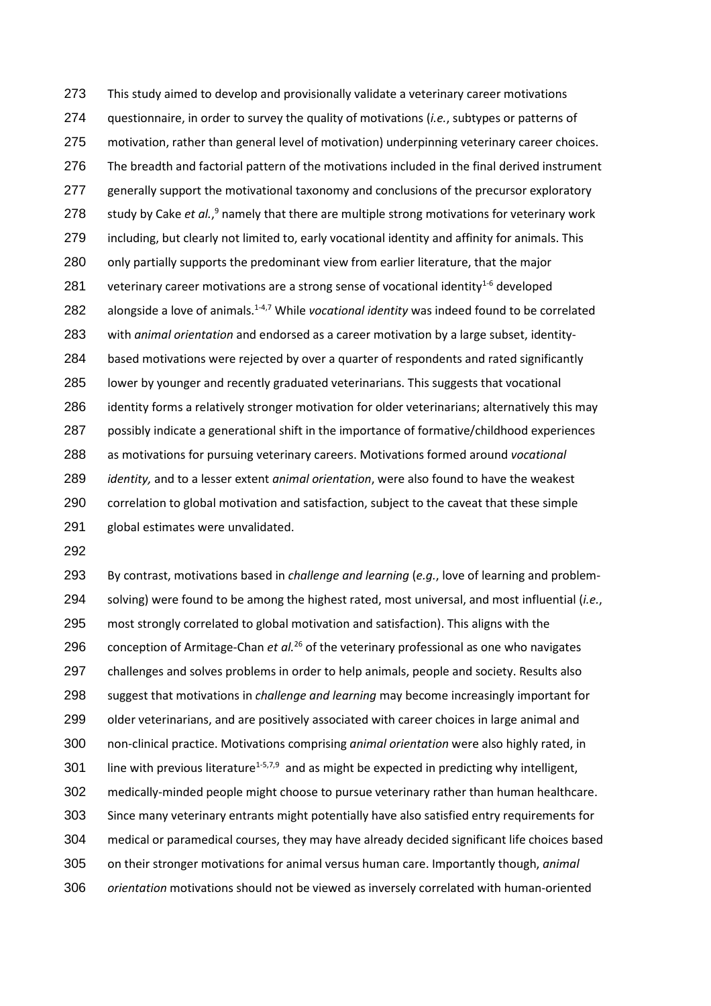This study aimed to develop and provisionally validate a veterinary career motivations questionnaire, in order to survey the quality of motivations (*i.e.*, subtypes or patterns of motivation, rather than general level of motivation) underpinning veterinary career choices. The breadth and factorial pattern of the motivations included in the final derived instrument generally support the motivational taxonomy and conclusions of the precursor exploratory 278 study by Cake *et al.*,<sup>9</sup> namely that there are multiple strong motivations for veterinary work including, but clearly not limited to, early vocational identity and affinity for animals. This only partially supports the predominant view from earlier literature, that the major 281 veterinary career motivations are a strong sense of vocational identity $1-6$  developed 282 alongside a love of animals.<sup>1-4,7</sup> While *vocational identity* was indeed found to be correlated with *animal orientation* and endorsed as a career motivation by a large subset, identity- based motivations were rejected by over a quarter of respondents and rated significantly lower by younger and recently graduated veterinarians. This suggests that vocational identity forms a relatively stronger motivation for older veterinarians; alternatively this may possibly indicate a generational shift in the importance of formative/childhood experiences as motivations for pursuing veterinary careers. Motivations formed around *vocational identity,* and to a lesser extent *animal orientation*, were also found to have the weakest correlation to global motivation and satisfaction, subject to the caveat that these simple global estimates were unvalidated.

 By contrast, motivations based in *challenge and learning* (*e.g.*, love of learning and problem- solving) were found to be among the highest rated, most universal, and most influential (*i.e.*, most strongly correlated to global motivation and satisfaction). This aligns with the 296 conception of Armitage-Chan *et al.*<sup>26</sup> of the veterinary professional as one who navigates challenges and solves problems in order to help animals, people and society. Results also suggest that motivations in *challenge and learning* may become increasingly important for 299 older veterinarians, and are positively associated with career choices in large animal and non-clinical practice. Motivations comprising *animal orientation* were also highly rated, in 301 line with previous literature<sup>1-5,7,9</sup> and as might be expected in predicting why intelligent, medically-minded people might choose to pursue veterinary rather than human healthcare. Since many veterinary entrants might potentially have also satisfied entry requirements for medical or paramedical courses, they may have already decided significant life choices based on their stronger motivations for animal versus human care. Importantly though, *animal orientation* motivations should not be viewed as inversely correlated with human-oriented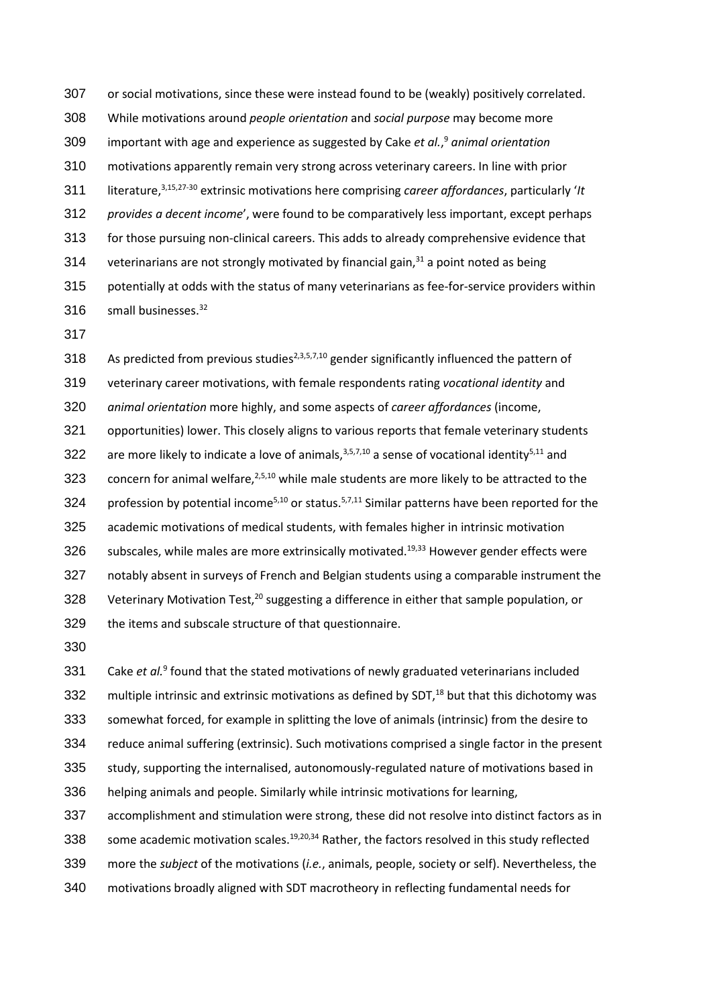or social motivations, since these were instead found to be (weakly) positively correlated. While motivations around *people orientation* and *social purpose* may become more important with age and experience as suggested by Cake *et al.*, <sup>9</sup> *animal orientation* motivations apparently remain very strong across veterinary careers. In line with prior literature,3,15,27-30 extrinsic motivations here comprising *career affordances*, particularly '*It provides a decent income*', were found to be comparatively less important, except perhaps for those pursuing non-clinical careers. This adds to already comprehensive evidence that 314 veterinarians are not strongly motivated by financial gain, $31$  a point noted as being potentially at odds with the status of many veterinarians as fee-for-service providers within 316 small businesses.<sup>32</sup>

318 As predicted from previous studies<sup>2,3,5,7,10</sup> gender significantly influenced the pattern of veterinary career motivations, with female respondents rating *vocational identity* and *animal orientation* more highly, and some aspects of *career affordances* (income, opportunities) lower. This closely aligns to various reports that female veterinary students 322 are more likely to indicate a love of animals,  $3,5,7,10$  a sense of vocational identity<sup>5,11</sup> and 323 concern for animal welfare,  $2,5,10$  while male students are more likely to be attracted to the 324 profession by potential income<sup>5,10</sup> or status.<sup>5,7,11</sup> Similar patterns have been reported for the academic motivations of medical students, with females higher in intrinsic motivation subscales, while males are more extrinsically motivated.<sup>19,33</sup> However gender effects were notably absent in surveys of French and Belgian students using a comparable instrument the 328 Veterinary Motivation Test, $^{20}$  suggesting a difference in either that sample population, or the items and subscale structure of that questionnaire.

331 Cake *et al.*<sup>9</sup> found that the stated motivations of newly graduated veterinarians included 332 multiple intrinsic and extrinsic motivations as defined by SDT, $^{18}$  but that this dichotomy was somewhat forced, for example in splitting the love of animals (intrinsic) from the desire to reduce animal suffering (extrinsic). Such motivations comprised a single factor in the present study, supporting the internalised, autonomously-regulated nature of motivations based in helping animals and people. Similarly while intrinsic motivations for learning, accomplishment and stimulation were strong, these did not resolve into distinct factors as in

338 some academic motivation scales.<sup>19,20,34</sup> Rather, the factors resolved in this study reflected

more the *subject* of the motivations (*i.e.*, animals, people, society or self). Nevertheless, the

motivations broadly aligned with SDT macrotheory in reflecting fundamental needs for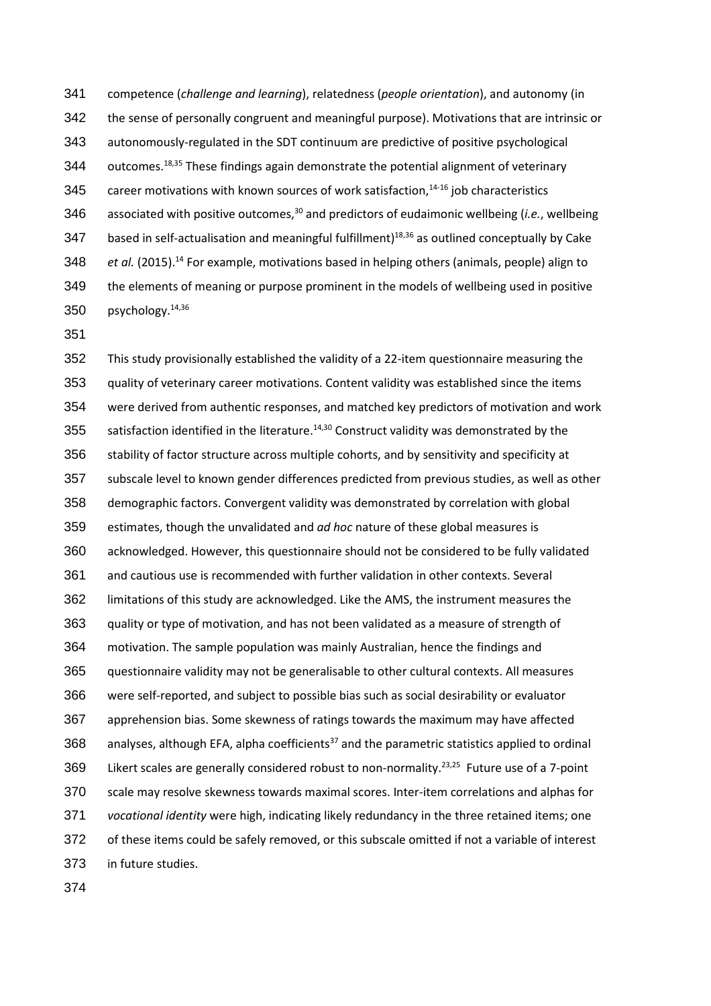competence (*challenge and learning*), relatedness (*people orientation*), and autonomy (in the sense of personally congruent and meaningful purpose). Motivations that are intrinsic or autonomously-regulated in the SDT continuum are predictive of positive psychological 344 outcomes.<sup>18,35</sup> These findings again demonstrate the potential alignment of veterinary 345 career motivations with known sources of work satisfaction, $14-16$  job characteristics 346 associated with positive outcomes,<sup>30</sup> and predictors of eudaimonic wellbeing (*i.e.*, wellbeing 347 based in self-actualisation and meaningful fulfillment)<sup>18,36</sup> as outlined conceptually by Cake 348 *et al.* (2015).<sup>14</sup> For example, motivations based in helping others (animals, people) align to the elements of meaning or purpose prominent in the models of wellbeing used in positive 350  $p$ sychology.<sup>14,36</sup>

 This study provisionally established the validity of a 22-item questionnaire measuring the quality of veterinary career motivations. Content validity was established since the items were derived from authentic responses, and matched key predictors of motivation and work 355 satisfaction identified in the literature.<sup>14,30</sup> Construct validity was demonstrated by the stability of factor structure across multiple cohorts, and by sensitivity and specificity at subscale level to known gender differences predicted from previous studies, as well as other demographic factors. Convergent validity was demonstrated by correlation with global estimates, though the unvalidated and *ad hoc* nature of these global measures is acknowledged. However, this questionnaire should not be considered to be fully validated and cautious use is recommended with further validation in other contexts. Several limitations of this study are acknowledged. Like the AMS, the instrument measures the quality or type of motivation, and has not been validated as a measure of strength of motivation. The sample population was mainly Australian, hence the findings and questionnaire validity may not be generalisable to other cultural contexts. All measures were self-reported, and subject to possible bias such as social desirability or evaluator apprehension bias. Some skewness of ratings towards the maximum may have affected 368 analyses, although EFA, alpha coefficients<sup>37</sup> and the parametric statistics applied to ordinal 369 Likert scales are generally considered robust to non-normality.<sup>23,25</sup> Future use of a 7-point scale may resolve skewness towards maximal scores. Inter-item correlations and alphas for *vocational identity* were high, indicating likely redundancy in the three retained items; one of these items could be safely removed, or this subscale omitted if not a variable of interest in future studies.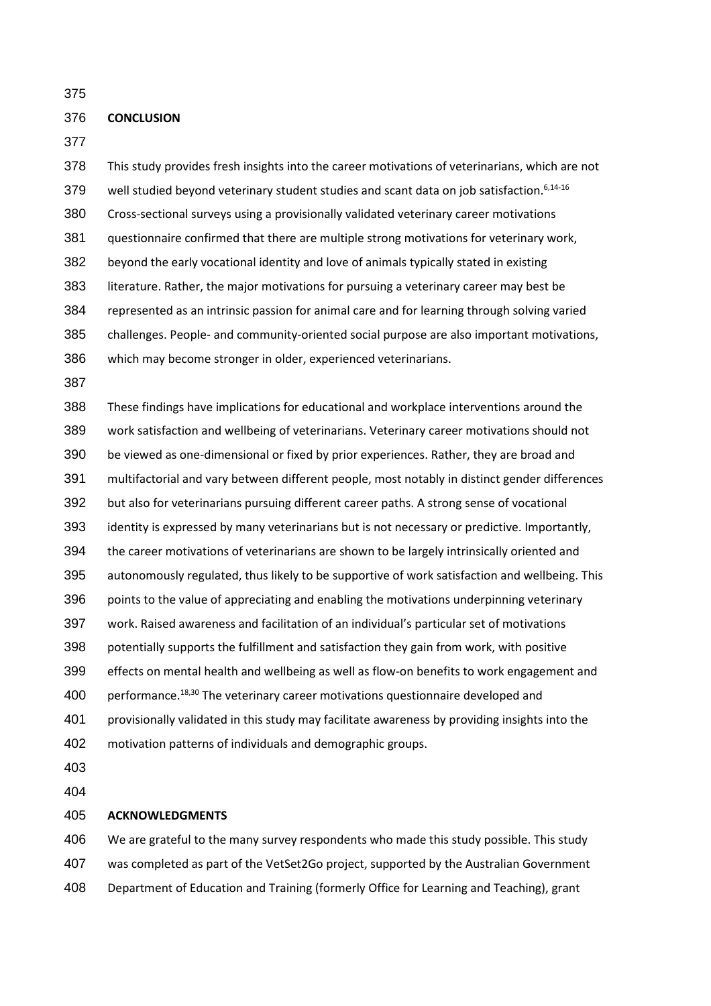#### **CONCLUSION**

 This study provides fresh insights into the career motivations of veterinarians, which are not 379 well studied beyond veterinary student studies and scant data on job satisfaction.<sup>6,14-16</sup> Cross-sectional surveys using a provisionally validated veterinary career motivations questionnaire confirmed that there are multiple strong motivations for veterinary work, beyond the early vocational identity and love of animals typically stated in existing literature. Rather, the major motivations for pursuing a veterinary career may best be represented as an intrinsic passion for animal care and for learning through solving varied challenges. People- and community-oriented social purpose are also important motivations, which may become stronger in older, experienced veterinarians.

 These findings have implications for educational and workplace interventions around the work satisfaction and wellbeing of veterinarians. Veterinary career motivations should not be viewed as one-dimensional or fixed by prior experiences. Rather, they are broad and multifactorial and vary between different people, most notably in distinct gender differences but also for veterinarians pursuing different career paths. A strong sense of vocational identity is expressed by many veterinarians but is not necessary or predictive. Importantly, 394 the career motivations of veterinarians are shown to be largely intrinsically oriented and autonomously regulated, thus likely to be supportive of work satisfaction and wellbeing. This points to the value of appreciating and enabling the motivations underpinning veterinary work. Raised awareness and facilitation of an individual's particular set of motivations potentially supports the fulfillment and satisfaction they gain from work, with positive effects on mental health and wellbeing as well as flow-on benefits to work engagement and 400 performance.<sup>18,30</sup> The veterinary career motivations questionnaire developed and provisionally validated in this study may facilitate awareness by providing insights into the motivation patterns of individuals and demographic groups.

 

#### **ACKNOWLEDGMENTS**

 We are grateful to the many survey respondents who made this study possible. This study was completed as part of the VetSet2Go project, supported by the Australian Government Department of Education and Training (formerly Office for Learning and Teaching), grant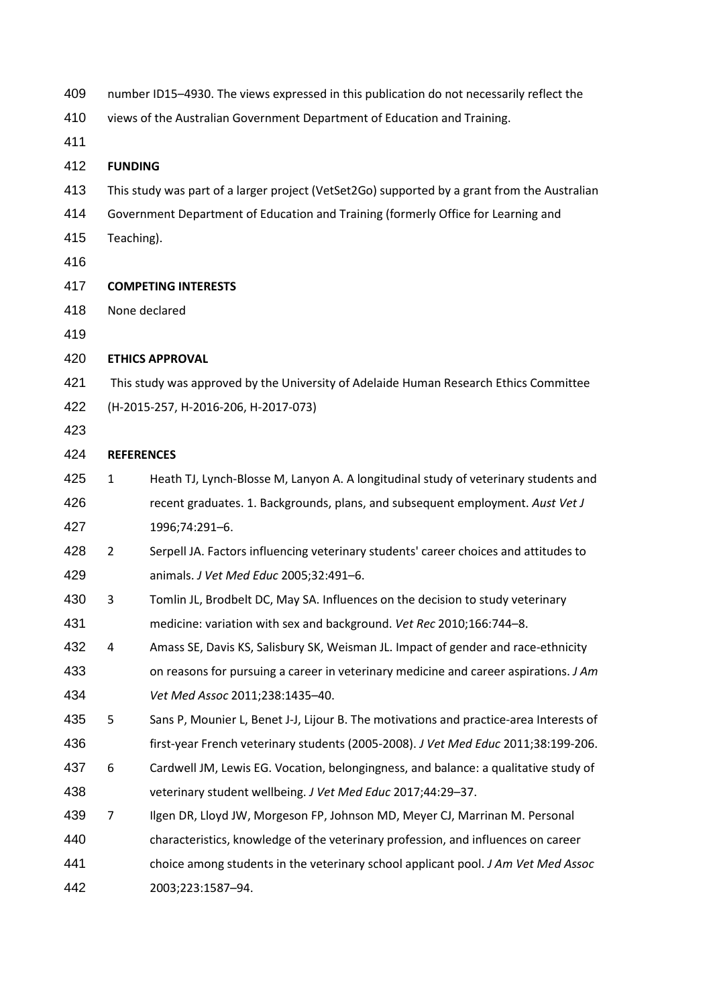| 409 |                   | number ID15-4930. The views expressed in this publication do not necessarily reflect the     |
|-----|-------------------|----------------------------------------------------------------------------------------------|
| 410 |                   | views of the Australian Government Department of Education and Training.                     |
| 411 |                   |                                                                                              |
| 412 | <b>FUNDING</b>    |                                                                                              |
| 413 |                   | This study was part of a larger project (VetSet2Go) supported by a grant from the Australian |
| 414 |                   | Government Department of Education and Training (formerly Office for Learning and            |
| 415 | Teaching).        |                                                                                              |
| 416 |                   |                                                                                              |
| 417 |                   | <b>COMPETING INTERESTS</b>                                                                   |
| 418 |                   | None declared                                                                                |
| 419 |                   |                                                                                              |
| 420 |                   | <b>ETHICS APPROVAL</b>                                                                       |
| 421 |                   | This study was approved by the University of Adelaide Human Research Ethics Committee        |
| 422 |                   | (H-2015-257, H-2016-206, H-2017-073)                                                         |
| 423 |                   |                                                                                              |
| 424 | <b>REFERENCES</b> |                                                                                              |
| 425 | $\mathbf{1}$      | Heath TJ, Lynch-Blosse M, Lanyon A. A longitudinal study of veterinary students and          |
| 426 |                   | recent graduates. 1. Backgrounds, plans, and subsequent employment. Aust Vet J               |
| 427 |                   | 1996;74:291-6.                                                                               |
| 428 | $\overline{2}$    | Serpell JA. Factors influencing veterinary students' career choices and attitudes to         |
| 429 |                   | animals. J Vet Med Educ 2005;32:491-6.                                                       |
| 430 | 3                 | Tomlin JL, Brodbelt DC, May SA. Influences on the decision to study veterinary               |
| 431 |                   | medicine: variation with sex and background. Vet Rec 2010;166:744-8.                         |
| 432 | 4                 | Amass SE, Davis KS, Salisbury SK, Weisman JL. Impact of gender and race-ethnicity            |
| 433 |                   | on reasons for pursuing a career in veterinary medicine and career aspirations. J Am         |
| 434 |                   | Vet Med Assoc 2011;238:1435-40.                                                              |
| 435 | 5                 | Sans P, Mounier L, Benet J-J, Lijour B. The motivations and practice-area Interests of       |
| 436 |                   | first-year French veterinary students (2005-2008). J Vet Med Educ 2011;38:199-206.           |
| 437 | 6                 | Cardwell JM, Lewis EG. Vocation, belongingness, and balance: a qualitative study of          |
| 438 |                   | veterinary student wellbeing. J Vet Med Educ 2017;44:29-37.                                  |
| 439 | 7                 | Ilgen DR, Lloyd JW, Morgeson FP, Johnson MD, Meyer CJ, Marrinan M. Personal                  |
| 440 |                   | characteristics, knowledge of the veterinary profession, and influences on career            |
| 441 |                   | choice among students in the veterinary school applicant pool. J Am Vet Med Assoc            |
| 442 |                   | 2003;223:1587-94.                                                                            |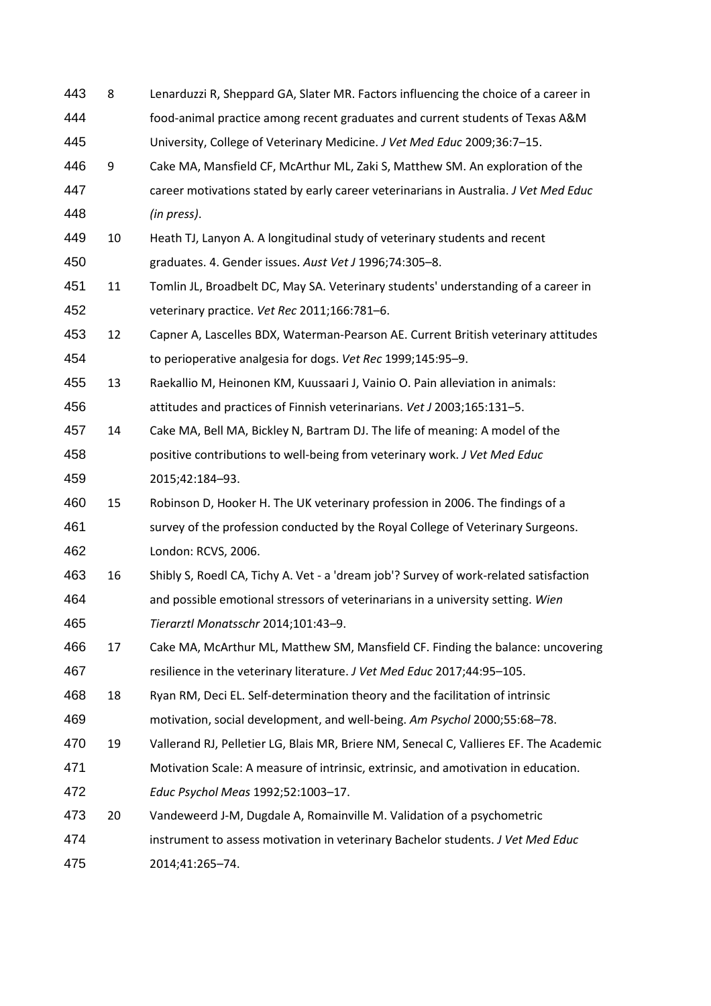| 443 | 8  | Lenarduzzi R, Sheppard GA, Slater MR. Factors influencing the choice of a career in    |
|-----|----|----------------------------------------------------------------------------------------|
| 444 |    | food-animal practice among recent graduates and current students of Texas A&M          |
| 445 |    | University, College of Veterinary Medicine. J Vet Med Educ 2009;36:7-15.               |
| 446 | 9  | Cake MA, Mansfield CF, McArthur ML, Zaki S, Matthew SM. An exploration of the          |
| 447 |    | career motivations stated by early career veterinarians in Australia. J Vet Med Educ   |
| 448 |    | (in press).                                                                            |
| 449 | 10 | Heath TJ, Lanyon A. A longitudinal study of veterinary students and recent             |
| 450 |    | graduates. 4. Gender issues. Aust Vet J 1996;74:305-8.                                 |
| 451 | 11 | Tomlin JL, Broadbelt DC, May SA. Veterinary students' understanding of a career in     |
| 452 |    | veterinary practice. Vet Rec 2011;166:781-6.                                           |
| 453 | 12 | Capner A, Lascelles BDX, Waterman-Pearson AE. Current British veterinary attitudes     |
| 454 |    | to perioperative analgesia for dogs. Vet Rec 1999;145:95-9.                            |
| 455 | 13 | Raekallio M, Heinonen KM, Kuussaari J, Vainio O. Pain alleviation in animals:          |
| 456 |    | attitudes and practices of Finnish veterinarians. Vet J 2003;165:131-5.                |
| 457 | 14 | Cake MA, Bell MA, Bickley N, Bartram DJ. The life of meaning: A model of the           |
| 458 |    | positive contributions to well-being from veterinary work. J Vet Med Educ              |
| 459 |    | 2015;42:184-93.                                                                        |
| 460 | 15 | Robinson D, Hooker H. The UK veterinary profession in 2006. The findings of a          |
| 461 |    | survey of the profession conducted by the Royal College of Veterinary Surgeons.        |
| 462 |    | London: RCVS, 2006.                                                                    |
| 463 | 16 | Shibly S, Roedl CA, Tichy A. Vet - a 'dream job'? Survey of work-related satisfaction  |
| 464 |    | and possible emotional stressors of veterinarians in a university setting. Wien        |
| 465 |    | Tierarztl Monatsschr 2014;101:43-9.                                                    |
| 466 | 17 | Cake MA, McArthur ML, Matthew SM, Mansfield CF. Finding the balance: uncovering        |
| 467 |    | resilience in the veterinary literature. J Vet Med Educ 2017;44:95-105.                |
| 468 | 18 | Ryan RM, Deci EL. Self-determination theory and the facilitation of intrinsic          |
| 469 |    | motivation, social development, and well-being. Am Psychol 2000;55:68-78.              |
| 470 | 19 | Vallerand RJ, Pelletier LG, Blais MR, Briere NM, Senecal C, Vallieres EF. The Academic |
| 471 |    | Motivation Scale: A measure of intrinsic, extrinsic, and amotivation in education.     |
| 472 |    | Educ Psychol Meas 1992;52:1003-17.                                                     |
| 473 | 20 | Vandeweerd J-M, Dugdale A, Romainville M. Validation of a psychometric                 |
| 474 |    | instrument to assess motivation in veterinary Bachelor students. J Vet Med Educ        |
| 475 |    | 2014;41:265-74.                                                                        |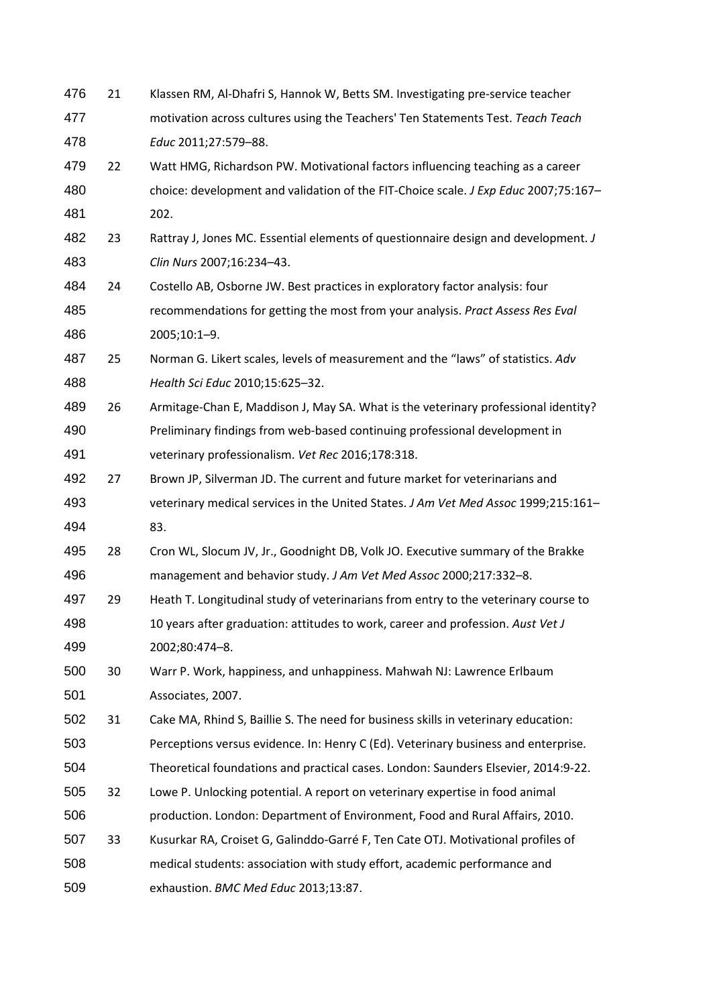| 476 | 21 | Klassen RM, Al-Dhafri S, Hannok W, Betts SM. Investigating pre-service teacher      |
|-----|----|-------------------------------------------------------------------------------------|
| 477 |    | motivation across cultures using the Teachers' Ten Statements Test. Teach Teach     |
| 478 |    | Educ 2011;27:579-88.                                                                |
| 479 | 22 | Watt HMG, Richardson PW. Motivational factors influencing teaching as a career      |
| 480 |    | choice: development and validation of the FIT-Choice scale. J Exp Educ 2007;75:167- |
| 481 |    | 202.                                                                                |
| 482 | 23 | Rattray J, Jones MC. Essential elements of questionnaire design and development. J  |
| 483 |    | Clin Nurs 2007;16:234-43.                                                           |
| 484 | 24 | Costello AB, Osborne JW. Best practices in exploratory factor analysis: four        |
| 485 |    | recommendations for getting the most from your analysis. Pract Assess Res Eval      |
| 486 |    | 2005;10:1-9.                                                                        |
| 487 | 25 | Norman G. Likert scales, levels of measurement and the "laws" of statistics. Adv    |
| 488 |    | Health Sci Educ 2010;15:625-32.                                                     |
| 489 | 26 | Armitage-Chan E, Maddison J, May SA. What is the veterinary professional identity?  |
| 490 |    | Preliminary findings from web-based continuing professional development in          |
| 491 |    | veterinary professionalism. Vet Rec 2016;178:318.                                   |
| 492 | 27 | Brown JP, Silverman JD. The current and future market for veterinarians and         |
| 493 |    | veterinary medical services in the United States. J Am Vet Med Assoc 1999;215:161-  |
| 494 |    | 83.                                                                                 |
| 495 | 28 | Cron WL, Slocum JV, Jr., Goodnight DB, Volk JO. Executive summary of the Brakke     |
| 496 |    | management and behavior study. J Am Vet Med Assoc 2000;217:332-8.                   |
| 497 | 29 | Heath T. Longitudinal study of veterinarians from entry to the veterinary course to |
| 498 |    | 10 years after graduation: attitudes to work, career and profession. Aust Vet J     |
| 499 |    | 2002;80:474-8.                                                                      |
| 500 | 30 | Warr P. Work, happiness, and unhappiness. Mahwah NJ: Lawrence Erlbaum               |
| 501 |    | Associates, 2007.                                                                   |
| 502 | 31 | Cake MA, Rhind S, Baillie S. The need for business skills in veterinary education:  |
| 503 |    | Perceptions versus evidence. In: Henry C (Ed). Veterinary business and enterprise.  |
| 504 |    | Theoretical foundations and practical cases. London: Saunders Elsevier, 2014:9-22.  |
| 505 | 32 | Lowe P. Unlocking potential. A report on veterinary expertise in food animal        |
| 506 |    | production. London: Department of Environment, Food and Rural Affairs, 2010.        |
| 507 | 33 | Kusurkar RA, Croiset G, Galinddo-Garré F, Ten Cate OTJ. Motivational profiles of    |
| 508 |    | medical students: association with study effort, academic performance and           |
| 509 |    | exhaustion. BMC Med Educ 2013;13:87.                                                |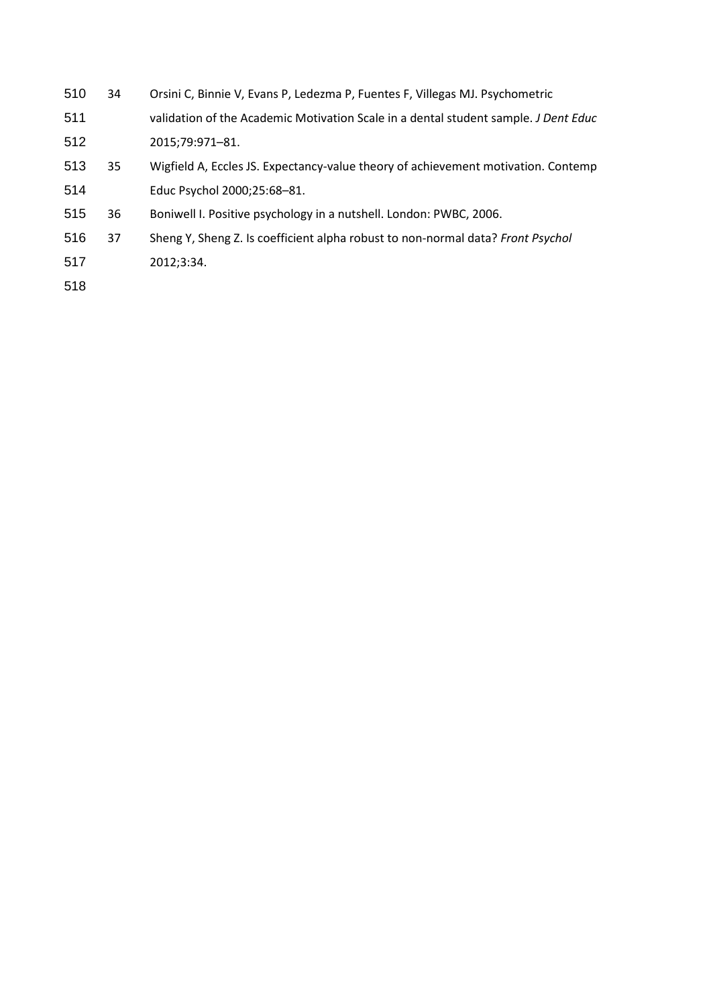- 34 Orsini C, Binnie V, Evans P, Ledezma P, Fuentes F, Villegas MJ. Psychometric
- validation of the Academic Motivation Scale in a dental student sample. *J Dent Educ* 2015;79:971–81.
- 35 Wigfield A, Eccles JS. Expectancy-value theory of achievement motivation. Contemp Educ Psychol 2000;25:68–81.
- 36 Boniwell I. Positive psychology in a nutshell. London: PWBC, 2006.
- 37 Sheng Y, Sheng Z. Is coefficient alpha robust to non-normal data? *Front Psychol*
- 2012;3:34.
-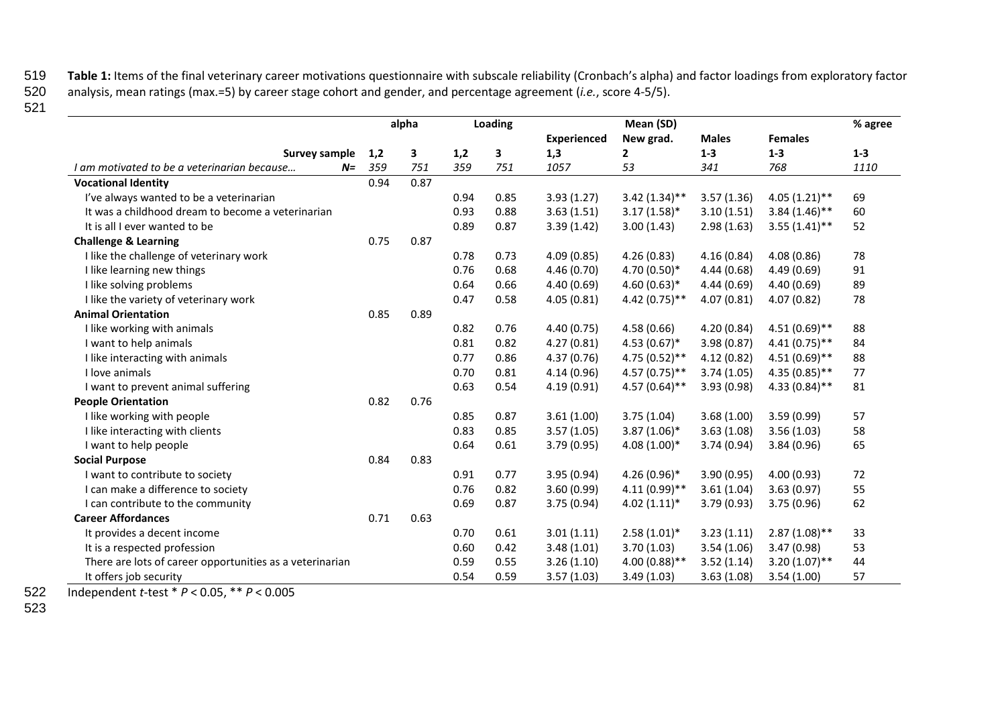519 Table 1: Items of the final veterinary career motivations questionnaire with subscale reliability (Cronbach's alpha) and factor loadings from exploratory factor<br>520 analysis, mean ratings (max.=5) by career stage cohor

520 analysis, mean ratings (max.=5) by career stage cohort and gender, and percentage agreement (*i.e.*, score 4-5/5).

521

|                                                          | alpha |      |      | Loading |                    | Mean (SD)       |              |                 | % agree |
|----------------------------------------------------------|-------|------|------|---------|--------------------|-----------------|--------------|-----------------|---------|
|                                                          |       |      |      |         | <b>Experienced</b> | New grad.       | <b>Males</b> | <b>Females</b>  |         |
| Survey sample                                            | 1,2   | 3    | 1,2  | 3       | 1,3                | $\mathbf{2}$    | $1 - 3$      | $1-3$           | $1 - 3$ |
| I am motivated to be a veterinarian because<br>$N =$     | 359   | 751  | 359  | 751     | 1057               | 53              | 341          | 768             | 1110    |
| <b>Vocational Identity</b>                               | 0.94  | 0.87 |      |         |                    |                 |              |                 |         |
| I've always wanted to be a veterinarian                  |       |      | 0.94 | 0.85    | 3.93(1.27)         | $3.42(1.34)$ ** | 3.57(1.36)   | $4.05(1.21)$ ** | 69      |
| It was a childhood dream to become a veterinarian        |       |      | 0.93 | 0.88    | 3.63(1.51)         | $3.17(1.58)$ *  | 3.10(1.51)   | $3.84(1.46)$ ** | 60      |
| It is all I ever wanted to be                            |       |      | 0.89 | 0.87    | 3.39(1.42)         | 3.00(1.43)      | 2.98(1.63)   | $3.55(1.41)$ ** | 52      |
| <b>Challenge &amp; Learning</b>                          | 0.75  | 0.87 |      |         |                    |                 |              |                 |         |
| I like the challenge of veterinary work                  |       |      | 0.78 | 0.73    | 4.09(0.85)         | 4.26(0.83)      | 4.16(0.84)   | 4.08(0.86)      | 78      |
| I like learning new things                               |       |      | 0.76 | 0.68    | 4.46 (0.70)        | 4.70 $(0.50)*$  | 4.44(0.68)   | 4.49(0.69)      | 91      |
| I like solving problems                                  |       |      | 0.64 | 0.66    | 4.40(0.69)         | 4.60 $(0.63)*$  | 4.44 (0.69)  | 4.40(0.69)      | 89      |
| I like the variety of veterinary work                    |       |      | 0.47 | 0.58    | 4.05(0.81)         | $4.42(0.75)$ ** | 4.07(0.81)   | 4.07(0.82)      | 78      |
| <b>Animal Orientation</b>                                | 0.85  | 0.89 |      |         |                    |                 |              |                 |         |
| I like working with animals                              |       |      | 0.82 | 0.76    | 4.40(0.75)         | 4.58(0.66)      | 4.20(0.84)   | $4.51(0.69)$ ** | 88      |
| I want to help animals                                   |       |      | 0.81 | 0.82    | 4.27(0.81)         | $4.53(0.67)^*$  | 3.98(0.87)   | $4.41(0.75)$ ** | 84      |
| I like interacting with animals                          |       |      | 0.77 | 0.86    | 4.37(0.76)         | $4.75(0.52)$ ** | 4.12(0.82)   | $4.51(0.69)$ ** | 88      |
| I love animals                                           |       |      | 0.70 | 0.81    | 4.14(0.96)         | $4.57(0.75)$ ** | 3.74(1.05)   | $4.35(0.85)$ ** | 77      |
| I want to prevent animal suffering                       |       |      | 0.63 | 0.54    | 4.19(0.91)         | $4.57(0.64)$ ** | 3.93(0.98)   | $4.33(0.84)$ ** | 81      |
| <b>People Orientation</b>                                | 0.82  | 0.76 |      |         |                    |                 |              |                 |         |
| I like working with people                               |       |      | 0.85 | 0.87    | 3.61(1.00)         | 3.75(1.04)      | 3.68(1.00)   | 3.59(0.99)      | 57      |
| I like interacting with clients                          |       |      | 0.83 | 0.85    | 3.57(1.05)         | $3.87(1.06)^*$  | 3.63(1.08)   | 3.56(1.03)      | 58      |
| I want to help people                                    |       |      | 0.64 | 0.61    | 3.79(0.95)         | $4.08(1.00)*$   | 3.74(0.94)   | 3.84(0.96)      | 65      |
| <b>Social Purpose</b>                                    | 0.84  | 0.83 |      |         |                    |                 |              |                 |         |
| I want to contribute to society                          |       |      | 0.91 | 0.77    | 3.95(0.94)         | $4.26(0.96)$ *  | 3.90(0.95)   | 4.00(0.93)      | 72      |
| I can make a difference to society                       |       |      | 0.76 | 0.82    | 3.60(0.99)         | $4.11(0.99)$ ** | 3.61(1.04)   | 3.63(0.97)      | 55      |
| I can contribute to the community                        |       |      | 0.69 | 0.87    | 3.75(0.94)         | $4.02(1.11)*$   | 3.79(0.93)   | 3.75(0.96)      | 62      |
| <b>Career Affordances</b>                                | 0.71  | 0.63 |      |         |                    |                 |              |                 |         |
| It provides a decent income                              |       |      | 0.70 | 0.61    | 3.01(1.11)         | $2.58(1.01)^*$  | 3.23(1.11)   | $2.87(1.08)$ ** | 33      |
| It is a respected profession                             |       |      | 0.60 | 0.42    | 3.48(1.01)         | 3.70(1.03)      | 3.54(1.06)   | 3.47(0.98)      | 53      |
| There are lots of career opportunities as a veterinarian |       |      | 0.59 | 0.55    | 3.26(1.10)         | $4.00(0.88)$ ** | 3.52(1.14)   | $3.20(1.07)$ ** | 44      |
| It offers job security                                   |       |      | 0.54 | 0.59    | 3.57(1.03)         | 3.49(1.03)      | 3.63(1.08)   | 3.54(1.00)      | 57      |

522 Independent *t*-test \* *P* < 0.05, \*\* *P* < 0.005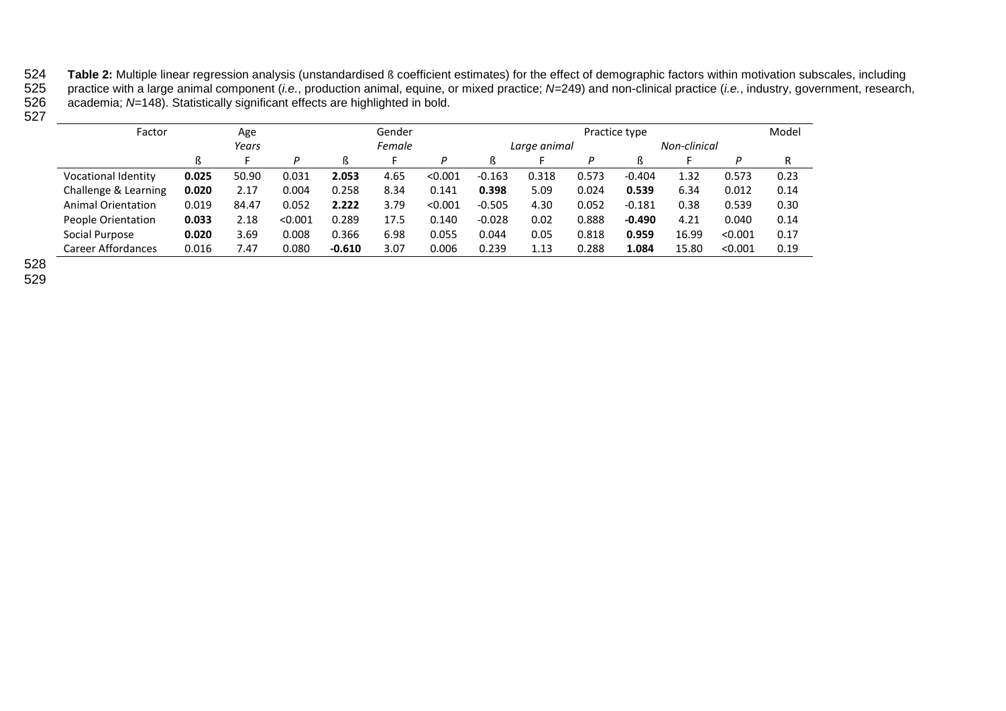524 Table 2: Multiple linear regression analysis (unstandardised ß coefficient estimates) for the effect of demographic factors within motivation subscales, including<br>525 practice with a large animal component (*i.e.*, pro 525 practice with a large animal component (*i.e.*, production animal, equine, or mixed practice; *N*=249) and non-clinical practice (*i.e.*, industry, government, research, 526 academia; *N*=148). Statistically significant effects are highlighted in bold.

 $527$ 

| Factor                     |       | Age   |         |          | Gender |         |              | Practice type |       |          |              |         |      |
|----------------------------|-------|-------|---------|----------|--------|---------|--------------|---------------|-------|----------|--------------|---------|------|
|                            | Years |       |         | Female   |        |         | Large animal |               |       |          | Non-clinical |         |      |
|                            | ß     |       | D       | ß        |        | P       |              |               |       |          |              |         | R    |
| <b>Vocational Identity</b> | 0.025 | 50.90 | 0.031   | 2.053    | 4.65   | < 0.001 | $-0.163$     | 0.318         | 0.573 | $-0.404$ | 1.32         | 0.573   | 0.23 |
| Challenge & Learning       | 0.020 | 2.17  | 0.004   | 0.258    | 8.34   | 0.141   | 0.398        | 5.09          | 0.024 | 0.539    | 6.34         | 0.012   | 0.14 |
| <b>Animal Orientation</b>  | 0.019 | 84.47 | 0.052   | 2.222    | 3.79   | < 0.001 | $-0.505$     | 4.30          | 0.052 | $-0.181$ | 0.38         | 0.539   | 0.30 |
| People Orientation         | 0.033 | 2.18  | < 0.001 | 0.289    | 17.5   | 0.140   | $-0.028$     | 0.02          | 0.888 | $-0.490$ | 4.21         | 0.040   | 0.14 |
| Social Purpose             | 0.020 | 3.69  | 0.008   | 0.366    | 6.98   | 0.055   | 0.044        | 0.05          | 0.818 | 0.959    | 16.99        | < 0.001 | 0.17 |
| Career Affordances         | 0.016 | 7.47  | 0.080   | $-0.610$ | 3.07   | 0.006   | 0.239        | 1.13          | 0.288 | 1.084    | 15.80        | < 0.001 | 0.19 |

528